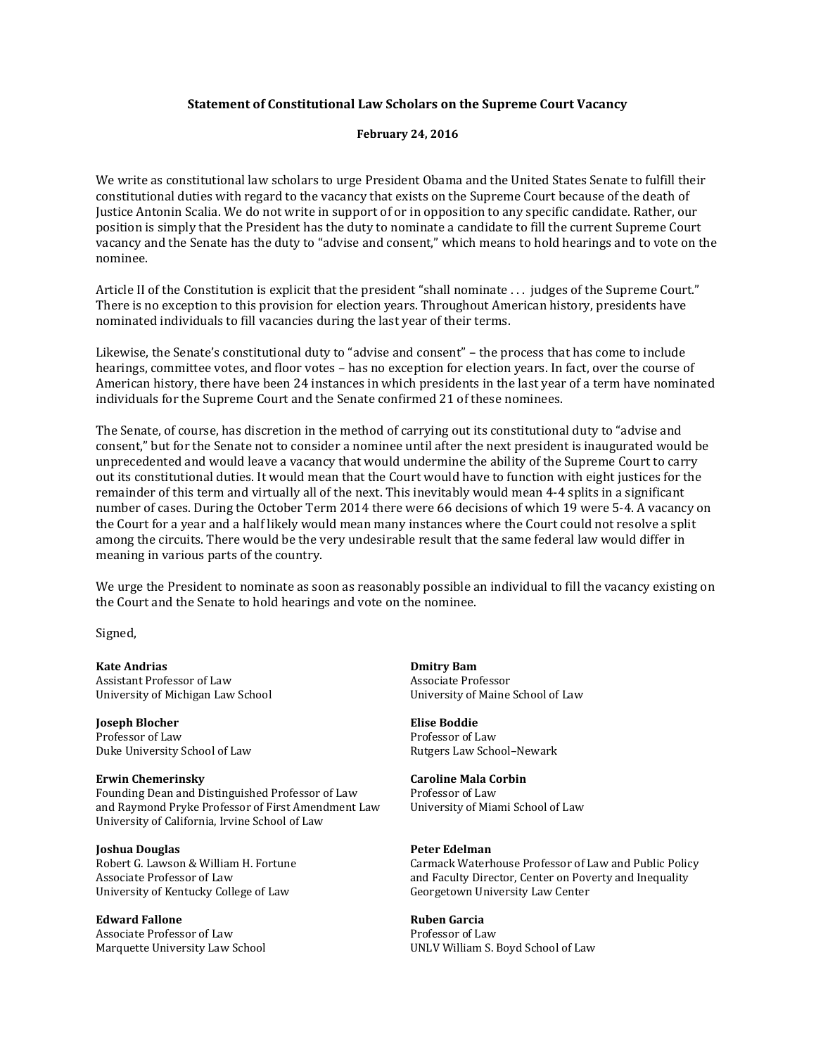# **Statement of Constitutional Law Scholars on the Supreme Court Vacancy**

# **February 24, 2016**

We write as constitutional law scholars to urge President Obama and the United States Senate to fulfill their constitutional duties with regard to the vacancy that exists on the Supreme Court because of the death of Justice Antonin Scalia. We do not write in support of or in opposition to any specific candidate. Rather, our position is simply that the President has the duty to nominate a candidate to fill the current Supreme Court vacancy and the Senate has the duty to "advise and consent," which means to hold hearings and to vote on the nominee.

Article II of the Constitution is explicit that the president "shall nominate . . . judges of the Supreme Court." There is no exception to this provision for election years. Throughout American history, presidents have nominated individuals to fill vacancies during the last year of their terms.

Likewise, the Senate's constitutional duty to "advise and consent" – the process that has come to include hearings, committee votes, and floor votes – has no exception for election years. In fact, over the course of American history, there have been 24 instances in which presidents in the last year of a term have nominated individuals for the Supreme Court and the Senate confirmed 21 of these nominees.

The Senate, of course, has discretion in the method of carrying out its constitutional duty to "advise and consent," but for the Senate not to consider a nominee until after the next president is inaugurated would be unprecedented and would leave a vacancy that would undermine the ability of the Supreme Court to carry out its constitutional duties. It would mean that the Court would have to function with eight justices for the remainder of this term and virtually all of the next. This inevitably would mean 4-4 splits in a significant number of cases. During the October Term 2014 there were 66 decisions of which 19 were 5-4. A vacancy on the Court for a year and a half likely would mean many instances where the Court could not resolve a split among the circuits. There would be the very undesirable result that the same federal law would differ in meaning in various parts of the country.

We urge the President to nominate as soon as reasonably possible an individual to fill the vacancy existing on the Court and the Senate to hold hearings and vote on the nominee.

Signed,

**Kate Andrias**<br> **Kate Andrias**<br> **Assistant Professor of Law Example 2018**<br> **Assistant Professor of Law Assistant Professor** Assistant Professor of Law University of Michigan Law School University of Maine School of Law

**Joseph Blocher Elise Boddie**  Professor of Law Professor of Law Duke University School of Law Rutgers Law School–Newark

**Erwin Chemerinsky Caroline Mala Corbin**<br> **Equipment Distinguished Professor of Law Professor of Law** Founding Dean and Distinguished Professor of Law Professor of Law and Raymond Pryke Professor of First Amendment Law University of Miami School of Law and Raymond Pryke Professor of First Amendment Law University of California, Irvine School of Law

# **Ioshua Douglas Peter Edelman**

University of Kentucky College of Law Georgetown University Law Center

**Edward Fallone** Ruben Garcia

Associate Professor of Law **Professor of Law** Professor of Law

Robert G. Lawson & William H. Fortune Carmack Waterhouse Professor of Law and Public Policy<br>Associate Professor of Law Carmack Waterhouse Professor of Law and Faculty Director. Center on Poverty and Inequality and Faculty Director, Center on Poverty and Inequality

Marquette University Law School UNLV William S. Boyd School of Law